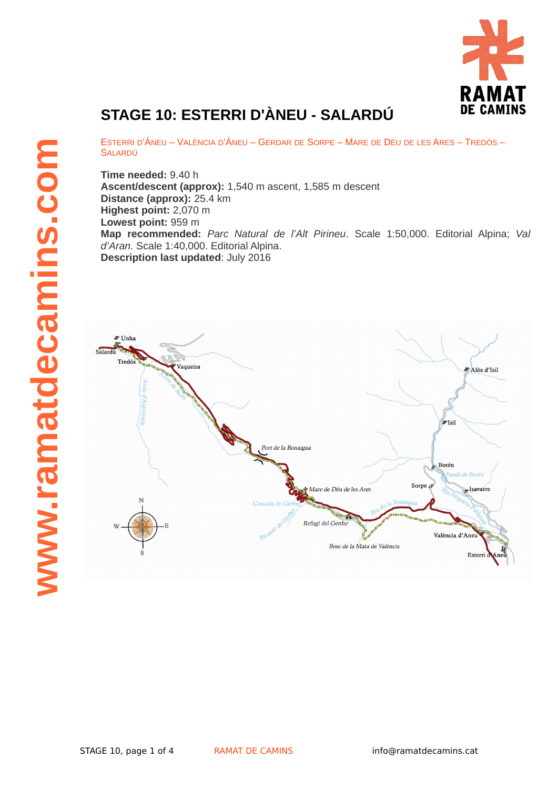

## **STAGE 10: ESTERRI D'ÀNEU - SALARDÚ**

ESTERRI D'ÀNEU – VALÈNCIA D'ÀNEU – GERDAR DE SORPE – MARE DE DÉU DE LES ARES – TREDÒS – **SALARDÚ** 

**Time needed:** 9.40 h **Ascent/descent (approx):** 1,540 m ascent, 1,585 m descent **Distance (approx):** 25.4 km **Highest point:** 2,070 m **Lowest point:** 959 m **Map recommended:** *Parc Natural de l'Alt Pirineu*. Scale 1:50,000. Editorial Alpina; *Val d'Aran.* Scale 1:40,000. Editorial Alpina. **Description last updated**: July 2016

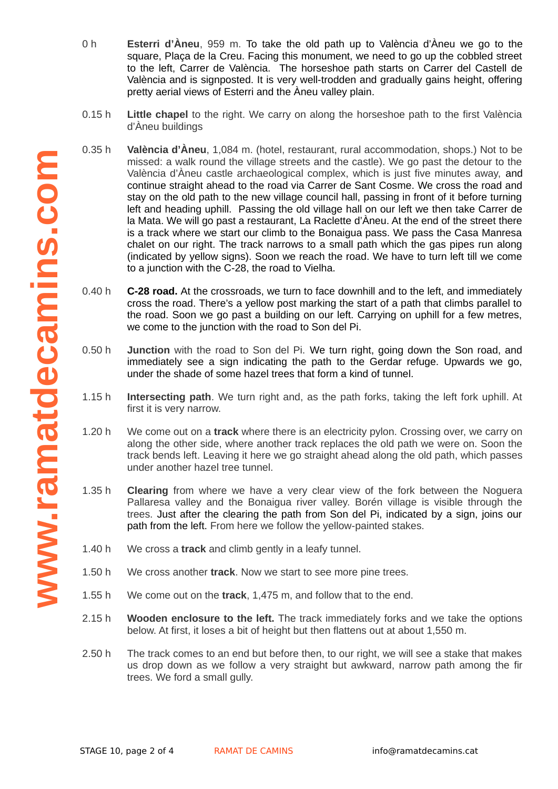- 0 h **Esterri d'Àneu**, 959 m. To take the old path up to València d'Àneu we go to the square, Plaça de la Creu. Facing this monument, we need to go up the cobbled street to the left, Carrer de València. The horseshoe path starts on Carrer del Castell de València and is signposted. It is very well-trodden and gradually gains height, offering pretty aerial views of Esterri and the Àneu valley plain.
- 0.15 h **Little chapel** to the right. We carry on along the horseshoe path to the first València d'Àneu buildings
- 0.35 h **València d'Àneu**, 1,084 m. (hotel, restaurant, rural accommodation, shops.) Not to be missed: a walk round the village streets and the castle). We go past the detour to the València d'Àneu castle archaeological complex, which is just five minutes away, and continue straight ahead to the road via Carrer de Sant Cosme. We cross the road and stay on the old path to the new village council hall, passing in front of it before turning left and heading uphill. Passing the old village hall on our left we then take Carrer de la Mata. We will go past a restaurant, La Raclette d'Àneu. At the end of the street there is a track where we start our climb to the Bonaigua pass. We pass the Casa Manresa chalet on our right. The track narrows to a small path which the gas pipes run along (indicated by yellow signs). Soon we reach the road. We have to turn left till we come to a junction with the C-28, the road to Vielha.
- 0.40 h **C-28 road.** At the crossroads, we turn to face downhill and to the left, and immediately cross the road. There's a yellow post marking the start of a path that climbs parallel to the road. Soon we go past a building on our left. Carrying on uphill for a few metres, we come to the junction with the road to Son del Pi.
- 0.50 h **Junction** with the road to Son del Pi. We turn right, going down the Son road, and immediately see a sign indicating the path to the Gerdar refuge. Upwards we go, under the shade of some hazel trees that form a kind of tunnel.
- 1.15 h **Intersecting path**. We turn right and, as the path forks, taking the left fork uphill. At first it is very narrow.
- 1.20 h We come out on a **track** where there is an electricity pylon. Crossing over, we carry on along the other side, where another track replaces the old path we were on. Soon the track bends left. Leaving it here we go straight ahead along the old path, which passes under another hazel tree tunnel.
- 1.35 h **Clearing** from where we have a very clear view of the fork between the Noguera Pallaresa valley and the Bonaigua river valley. Borén village is visible through the trees. Just after the clearing the path from Son del Pi, indicated by a sign, joins our path from the left. From here we follow the yellow-painted stakes.
- 1.40 h We cross a **track** and climb gently in a leafy tunnel.
- 1.50 h We cross another **track**. Now we start to see more pine trees.
- 1.55 h We come out on the **track**, 1,475 m, and follow that to the end.
- 2.15 h **Wooden enclosure to the left.** The track immediately forks and we take the options below. At first, it loses a bit of height but then flattens out at about 1,550 m.
- 2.50 h The track comes to an end but before then, to our right, we will see a stake that makes us drop down as we follow a very straight but awkward, narrow path among the fir trees. We ford a small gully.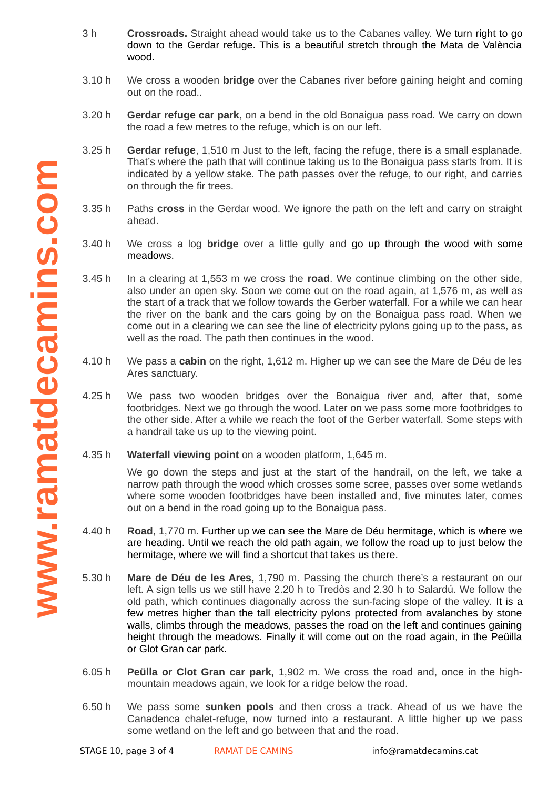- 3 h **Crossroads.** Straight ahead would take us to the Cabanes valley. We turn right to go down to the Gerdar refuge. This is a beautiful stretch through the Mata de València wood.
- 3.10 h We cross a wooden **bridge** over the Cabanes river before gaining height and coming out on the road..
- 3.20 h **Gerdar refuge car park**, on a bend in the old Bonaigua pass road. We carry on down the road a few metres to the refuge, which is on our left.
- 3.25 h **Gerdar refuge**, 1,510 m Just to the left, facing the refuge, there is a small esplanade. That's where the path that will continue taking us to the Bonaigua pass starts from. It is indicated by a yellow stake. The path passes over the refuge, to our right, and carries on through the fir trees.
- 3.35 h Paths **cross** in the Gerdar wood. We ignore the path on the left and carry on straight ahead.
- 3.40 h We cross a log **bridge** over a little gully and go up through the wood with some meadows.
- 3.45 h In a clearing at 1,553 m we cross the **road**. We continue climbing on the other side, also under an open sky. Soon we come out on the road again, at 1,576 m, as well as the start of a track that we follow towards the Gerber waterfall. For a while we can hear the river on the bank and the cars going by on the Bonaigua pass road. When we come out in a clearing we can see the line of electricity pylons going up to the pass, as well as the road. The path then continues in the wood.
- 4.10 h We pass a **cabin** on the right, 1,612 m. Higher up we can see the Mare de Déu de les Ares sanctuary.
- 4.25 h We pass two wooden bridges over the Bonaigua river and, after that, some footbridges. Next we go through the wood. Later on we pass some more footbridges to the other side. After a while we reach the foot of the Gerber waterfall. Some steps with a handrail take us up to the viewing point.
- 4.35 h **Waterfall viewing point** on a wooden platform, 1,645 m.

We go down the steps and just at the start of the handrail, on the left, we take a narrow path through the wood which crosses some scree, passes over some wetlands where some wooden footbridges have been installed and, five minutes later, comes out on a bend in the road going up to the Bonaigua pass.

- 4.40 h **Road**, 1,770 m. Further up we can see the Mare de Déu hermitage, which is where we are heading. Until we reach the old path again, we follow the road up to just below the hermitage, where we will find a shortcut that takes us there.
- 5.30 h **Mare de Déu de les Ares,** 1,790 m. Passing the church there's a restaurant on our left. A sign tells us we still have 2.20 h to Tredòs and 2.30 h to Salardú. We follow the old path, which continues diagonally across the sun-facing slope of the valley. It is a few metres higher than the tall electricity pylons protected from avalanches by stone walls, climbs through the meadows, passes the road on the left and continues gaining height through the meadows. Finally it will come out on the road again, in the Peüilla or Glot Gran car park.
- 6.05 h **Peülla or Clot Gran car park,** 1,902 m. We cross the road and, once in the highmountain meadows again, we look for a ridge below the road.
- 6.50 h We pass some **sunken pools** and then cross a track. Ahead of us we have the Canadenca chalet-refuge, now turned into a restaurant. A little higher up we pass some wetland on the left and go between that and the road.